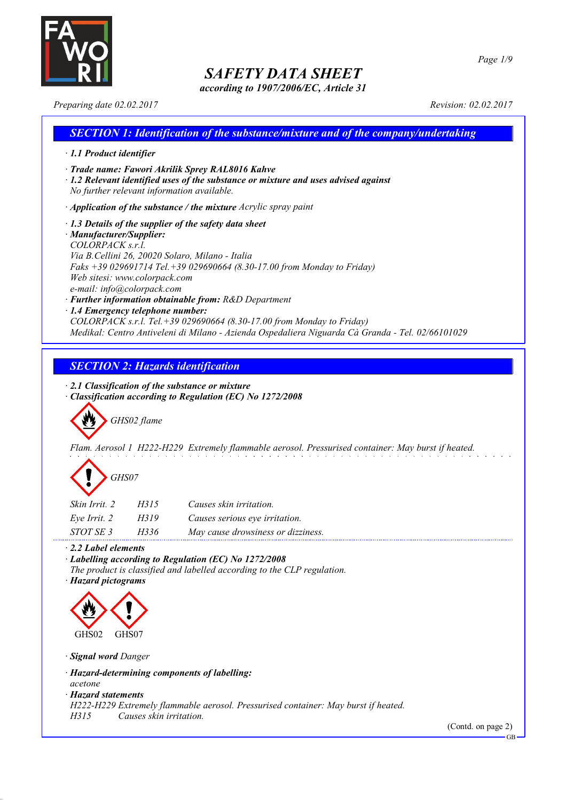

*according to 1907/2006/EC, Article 31*

*Preparing date 02.02.2017 Revision: 02.02.2017*

## *SECTION 1: Identification of the substance/mixture and of the company/undertaking · 1.1 Product identifier · Trade name: Fawori Akrilik Sprey RAL8016 Kahve · 1.2 Relevant identified uses of the substance or mixture and uses advised against No further relevant information available. · Application of the substance / the mixture Acrylic spray paint · 1.3 Details of the supplier of the safety data sheet · Manufacturer/Supplier: COLORPACK s.r.l. Via B.Cellini 26, 20020 Solaro, Milano - Italia Faks +39 029691714 Tel.+39 029690664 (8.30-17.00 from Monday to Friday) Web sitesi: www.colorpack.com e-mail: info@colorpack.com · Further information obtainable from: R&D Department · 1.4 Emergency telephone number: COLORPACK s.r.l. Tel.+39 029690664 (8.30-17.00 from Monday to Friday) Medikal: Centro Antiveleni di Milano - Azienda Ospedaliera Niguarda Cà Granda - Tel. 02/66101029*

## *SECTION 2: Hazards identification*

*· 2.1 Classification of the substance or mixture*

*· Classification according to Regulation (EC) No 1272/2008*

*GHS02 flame*

*Flam. Aerosol 1 H222-H229 Extremely flammable aerosol. Pressurised container: May burst if heated.*

| GHS07 |
|-------|
|-------|

| Skin Irrit. 2 | H315 | Causes skin irritation.            |
|---------------|------|------------------------------------|
| Eve Irrit. 2  | H319 | Causes serious eye irritation.     |
| STOT SE 3     | H336 | May cause drowsiness or dizziness. |

*· 2.2 Label elements*

*· Labelling according to Regulation (EC) No 1272/2008*

*The product is classified and labelled according to the CLP regulation.*

*· Hazard pictograms*



*· Signal word Danger*

*· Hazard-determining components of labelling:*

*acetone*

*· Hazard statements*

*H222-H229 Extremely flammable aerosol. Pressurised container: May burst if heated.*

*H315 Causes skin irritation.*

(Contd. on page 2)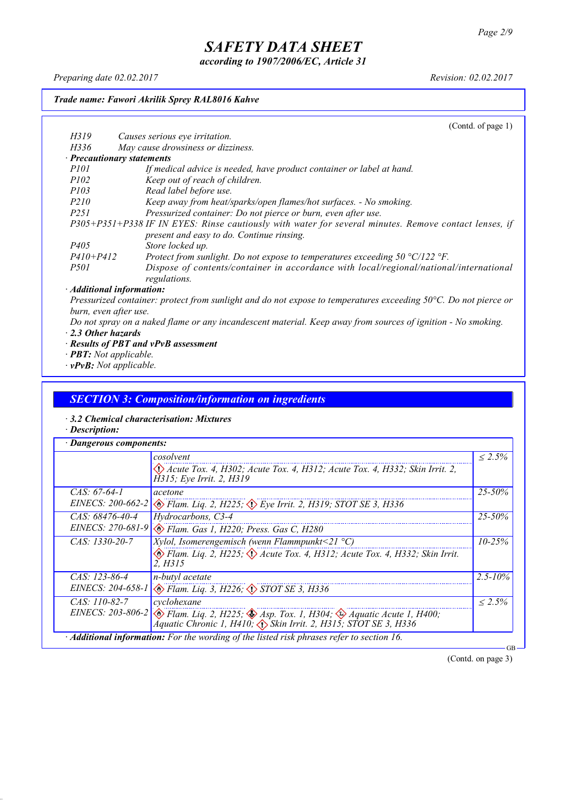*according to 1907/2006/EC, Article 31*

*Preparing date 02.02.2017 Revision: 02.02.2017*

#### *Trade name: Fawori Akrilik Sprey RAL8016 Kahve*

(Contd. of page 1) *H319 Causes serious eye irritation. H336 May cause drowsiness or dizziness. · Precautionary statements P101 If medical advice is needed, have product container or label at hand. P102 Keep out of reach of children. P103 Read label before use. P210 Keep away from heat/sparks/open flames/hot surfaces. - No smoking. P251 Pressurized container: Do not pierce or burn, even after use. P305+P351+P338 IF IN EYES: Rinse cautiously with water for several minutes. Remove contact lenses, if present and easy to do. Continue rinsing. P405 Store locked up. P410+P412 Protect from sunlight. Do not expose to temperatures exceeding 50 °C/122 °F. P501 Dispose of contents/container in accordance with local/regional/national/international regulations. · Additional information:*

Pressurized container: protect from sunlight and do not expose to temperatures exceeding 50°C. Do not pierce or *burn, even after use.*

- Do not spray on a naked flame or any incandescent material. Keep away from sources of ignition No smoking. *· 2.3 Other hazards*
- *· Results of PBT and vPvB assessment*
- *· PBT: Not applicable.*
- *· vPvB: Not applicable.*

#### *SECTION 3: Composition/information on ingredients*

- *· 3.2 Chemical characterisation: Mixtures*
- *· Description:*

|                   | cosolvent                                                                                                                                                                                        | $< 2.5\%$    |
|-------------------|--------------------------------------------------------------------------------------------------------------------------------------------------------------------------------------------------|--------------|
|                   | Acute Tox. 4, H302; Acute Tox. 4, H312; Acute Tox. 4, H332; Skin Irrit. 2,<br>H315; Eye Irrit. 2, H319                                                                                           |              |
| $CAS: 67-64-1$    | acetone                                                                                                                                                                                          | $25 - 50\%$  |
|                   | EINECS: 200-662-2 $\otimes$ Flam. Liq. 2, H225; $\otimes$ Eye Irrit. 2, H319; STOT SE 3, H336                                                                                                    |              |
| $CAS: 68476-40-4$ | Hydrocarbons, C3-4                                                                                                                                                                               | $25 - 50\%$  |
|                   | EINECS: 270-681-9 & Flam. Gas 1, H220; Press. Gas C, H280                                                                                                                                        |              |
| CAS: 1330-20-7    | <i>Xylol, Isomerengemisch (wenn Flammpunkt</i> <21 $^{\circ}$ C)                                                                                                                                 | $10 - 25\%$  |
|                   | Elam. Liq. 2, H225; $\Diamond$ Acute Tox. 4, H312; Acute Tox. 4, H332; Skin Irrit.<br>2. H315                                                                                                    |              |
| CAS: 123-86-4     | <i>n-butyl</i> acetate                                                                                                                                                                           | $2.5 - 10\%$ |
|                   | EINECS: 204-658-1 & Flam. Liq. 3, H226; STOT SE 3, H336                                                                                                                                          |              |
| $CAS: 110-82-7$   | cyclohexane                                                                                                                                                                                      | $\leq 2.5\%$ |
|                   | EINECS: 203-806-2 $\otimes$ Flam. Liq. 2, H225; $\otimes$ Asp. Tox. 1, H304; $\otimes$ Aquatic Acute 1, H400;<br>Áquatic Chronic 1, H410, $\langle \rangle$ Skin Irrit. 2, H315; STOT SE 3, H336 |              |

(Contd. on page 3)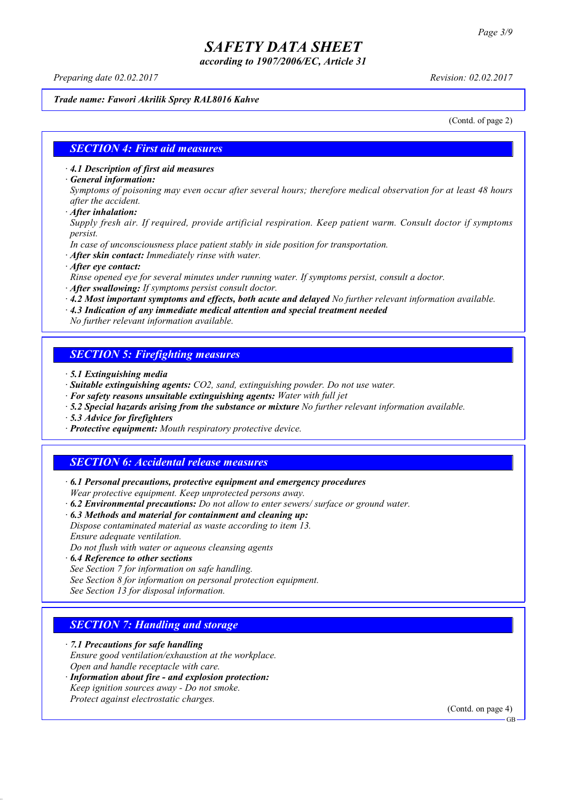*according to 1907/2006/EC, Article 31*

*Preparing date 02.02.2017 Revision: 02.02.2017*

#### *Trade name: Fawori Akrilik Sprey RAL8016 Kahve*

(Contd. of page 2)

### *SECTION 4: First aid measures*

*· 4.1 Description of first aid measures*

*· General information:*

Symptoms of poisoning may even occur after several hours; therefore medical observation for at least 48 hours *after the accident.*

*· After inhalation:*

*Supply fresh air. If required, provide artificial respiration. Keep patient warm. Consult doctor if symptoms persist.*

*In case of unconsciousness place patient stably in side position for transportation.*

- *· After skin contact: Immediately rinse with water.*
- *· After eye contact:*

*Rinse opened eye for several minutes under running water. If symptoms persist, consult a doctor.*

*· After swallowing: If symptoms persist consult doctor.*

*· 4.2 Most important symptoms and effects, both acute and delayed No further relevant information available.*

*· 4.3 Indication of any immediate medical attention and special treatment needed*

*No further relevant information available.*

### *SECTION 5: Firefighting measures*

- *· 5.1 Extinguishing media*
- *· Suitable extinguishing agents: CO2, sand, extinguishing powder. Do not use water.*
- *· For safety reasons unsuitable extinguishing agents: Water with full jet*
- *· 5.2 Special hazards arising from the substance or mixture No further relevant information available.*
- *· 5.3 Advice for firefighters*
- *· Protective equipment: Mouth respiratory protective device.*

### *SECTION 6: Accidental release measures*

*· 6.1 Personal precautions, protective equipment and emergency procedures Wear protective equipment. Keep unprotected persons away.*

*· 6.2 Environmental precautions: Do not allow to enter sewers/ surface or ground water.*

*· 6.3 Methods and material for containment and cleaning up:*

*Dispose contaminated material as waste according to item 13. Ensure adequate ventilation.*

*Do not flush with water or aqueous cleansing agents*

- *· 6.4 Reference to other sections*
- *See Section 7 for information on safe handling.*

*See Section 8 for information on personal protection equipment.*

*See Section 13 for disposal information.*

### *SECTION 7: Handling and storage*

*· 7.1 Precautions for safe handling*

*Ensure good ventilation/exhaustion at the workplace.*

*Open and handle receptacle with care.*

*· Information about fire - and explosion protection: Keep ignition sources away - Do not smoke.*

*Protect against electrostatic charges.*

(Contd. on page 4)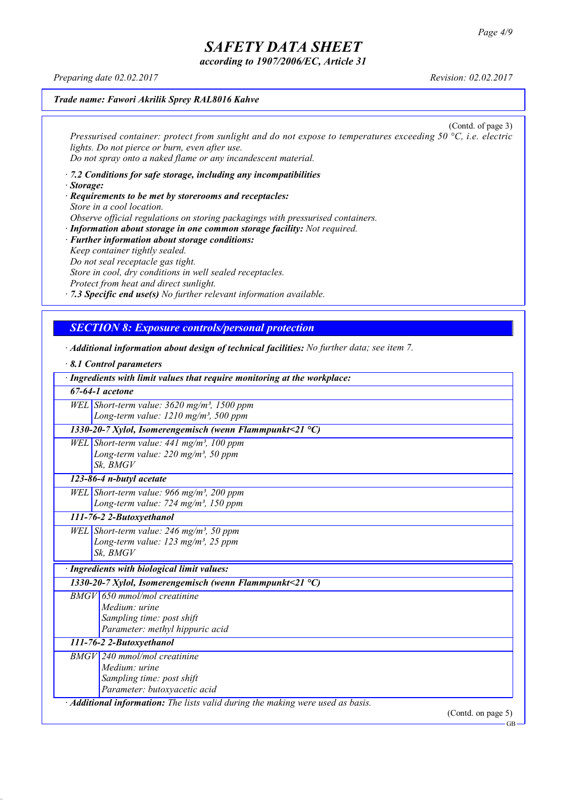*according to 1907/2006/EC, Article 31*

*Preparing date 02.02.2017 Revision: 02.02.2017*

*· 8.1 Control parameters*

#### *Trade name: Fawori Akrilik Sprey RAL8016 Kahve*

(Contd. of page 3) *Pressurised container: protect from sunlight and do not expose to temperatures exceeding 50 °C, i.e. electric lights. Do not pierce or burn, even after use. Do not spray onto a naked flame or any incandescent material.*

- *· 7.2 Conditions for safe storage, including any incompatibilities · Storage:*
- *· Requirements to be met by storerooms and receptacles: Store in a cool location. Observe official regulations on storing packagings with pressurised containers.*
- *· Information about storage in one common storage facility: Not required. · Further information about storage conditions: Keep container tightly sealed. Do not seal receptacle gas tight. Store in cool, dry conditions in well sealed receptacles. Protect from heat and direct sunlight.*

*· 7.3 Specific end use(s) No further relevant information available.*

### *SECTION 8: Exposure controls/personal protection*

*· Additional information about design of technical facilities: No further data; see item 7.*

| 8.1 Control parameters                                                          |                    |
|---------------------------------------------------------------------------------|--------------------|
| · Ingredients with limit values that require monitoring at the workplace:       |                    |
| $\overline{67}$ -64-1 acetone                                                   |                    |
| WEL Short-term value: $3620$ mg/m <sup>3</sup> , 1500 ppm                       |                    |
| Long-term value: 1210 mg/m <sup>3</sup> , 500 ppm                               |                    |
| 1330-20-7 Xylol, Isomerengemisch (wenn Flammpunkt<21 $^{\circ}$ C)              |                    |
| WEL Short-term value: $441$ mg/m <sup>3</sup> , 100 ppm                         |                    |
| Long-term value: 220 mg/m <sup>3</sup> , 50 ppm                                 |                    |
| Sk, BMGV                                                                        |                    |
| 123-86-4 n-butyl acetate                                                        |                    |
| WEL Short-term value: 966 mg/m <sup>3</sup> , 200 ppm                           |                    |
| Long-term value: $724$ mg/m <sup>3</sup> , 150 ppm                              |                    |
| 111-76-2 2-Butoxyethanol                                                        |                    |
| WEL Short-term value: $246$ mg/m <sup>3</sup> , 50 ppm                          |                    |
| Long-term value: $123$ mg/m <sup>3</sup> , 25 ppm                               |                    |
| Sk. BMGV                                                                        |                    |
| · Ingredients with biological limit values:                                     |                    |
| 1330-20-7 Xylol, Isomerengemisch (wenn Flammpunkt<21 $^{\circ}$ C)              |                    |
| $BMGV$ 650 mmol/mol creatinine                                                  |                    |
| Medium: urine                                                                   |                    |
| Sampling time: post shift                                                       |                    |
| Parameter: methyl hippuric acid                                                 |                    |
| 111-76-2 2-Butoxyethanol                                                        |                    |
| <b>BMGV</b> 240 mmol/mol creatinine                                             |                    |
| Medium: urine                                                                   |                    |
| Sampling time: post shift                                                       |                    |
| Parameter: butoxyacetic acid                                                    |                    |
| · Additional information: The lists valid during the making were used as basis. |                    |
|                                                                                 | (Contd. on page 5) |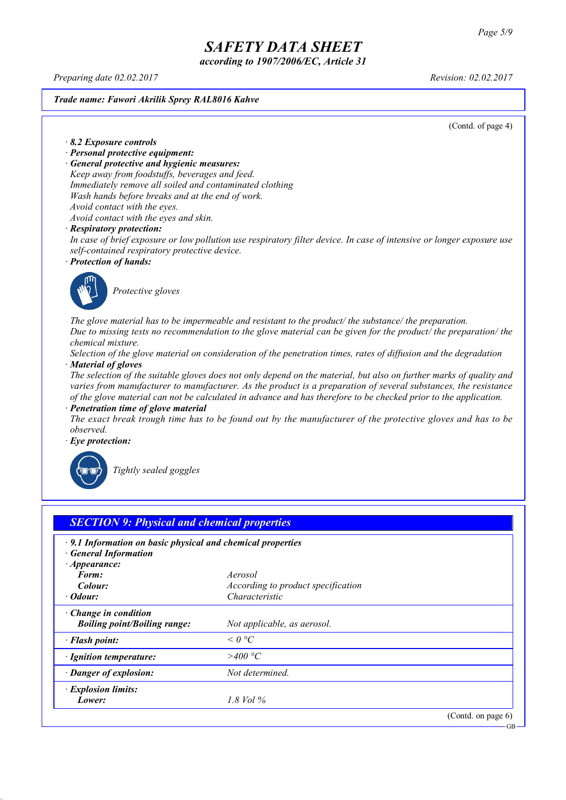*according to 1907/2006/EC, Article 31*

*Preparing date 02.02.2017 Revision: 02.02.2017*

*Trade name: Fawori Akrilik Sprey RAL8016 Kahve*

(Contd. of page 4)

*· 8.2 Exposure controls*

- *· Personal protective equipment:*
- *· General protective and hygienic measures:*

*Keep away from foodstuffs, beverages and feed. Immediately remove all soiled and contaminated clothing Wash hands before breaks and at the end of work. Avoid contact with the eyes.*

*Avoid contact with the eyes and skin.*

#### *· Respiratory protection:*

In case of brief exposure or low pollution use respiratory filter device. In case of intensive or longer exposure use *self-contained respiratory protective device.*

*· Protection of hands:*



*Protective gloves*

*The glove material has to be impermeable and resistant to the product/ the substance/ the preparation.* Due to missing tests no recommendation to the glove material can be given for the product/ the preparation/ the *chemical mixture.*

Selection of the glove material on consideration of the penetration times, rates of diffusion and the degradation *· Material of gloves*

The selection of the suitable gloves does not only depend on the material, but also on further marks of quality and *varies from manufacturer to manufacturer. As the product is a preparation of several substances, the resistance* of the glove material can not be calculated in advance and has therefore to be checked prior to the application.

*· Penetration time of glove material*

The exact break trough time has to be found out by the manufacturer of the protective gloves and has to be *observed.*

*· Eye protection:*



*Tightly sealed goggles*

| $\cdot$ 9.1 Information on basic physical and chemical properties<br><b>General Information</b><br>$\cdot$ Appearance: |                                    |  |
|------------------------------------------------------------------------------------------------------------------------|------------------------------------|--|
| Form:                                                                                                                  | Aerosol                            |  |
| Colour:                                                                                                                | According to product specification |  |
| $\cdot$ Odour:                                                                                                         | Characteristic                     |  |
| Change in condition<br><b>Boiling point/Boiling range:</b>                                                             | Not applicable, as aerosol.        |  |
| · Flash point:                                                                                                         | $\leq$ 0 °C                        |  |
| · Ignition temperature:                                                                                                | >400 °C                            |  |
| · Danger of explosion:                                                                                                 | Not determined.                    |  |
| · Explosion limits:                                                                                                    |                                    |  |
| Lower:                                                                                                                 | 1.8 Vol %                          |  |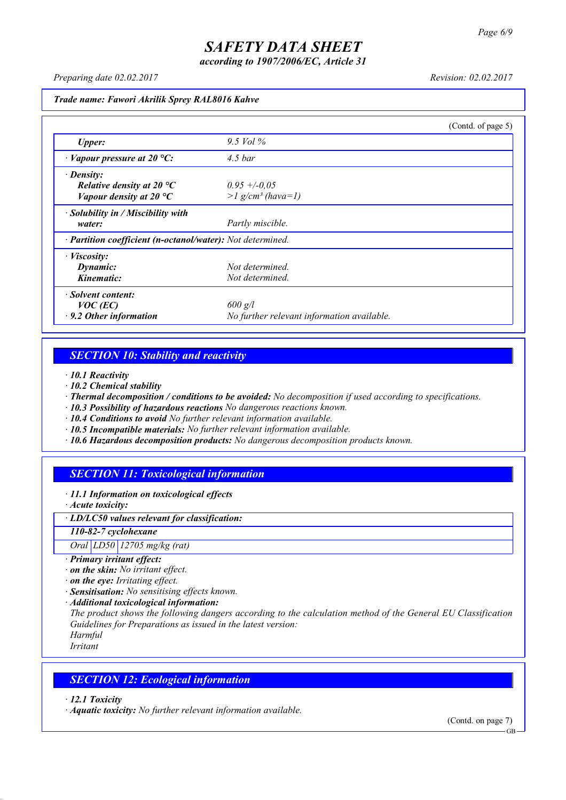*according to 1907/2006/EC, Article 31*

*Preparing date 02.02.2017 Revision: 02.02.2017*

*Trade name: Fawori Akrilik Sprey RAL8016 Kahve*

|                                                            |                                            | (Contd. of page 5) |
|------------------------------------------------------------|--------------------------------------------|--------------------|
| <b>Upper:</b>                                              | $9.5$ Vol $\%$                             |                    |
| $\cdot$ Vapour pressure at 20 °C:                          | $4.5$ bar                                  |                    |
| $\cdot$ Density:                                           |                                            |                    |
| Relative density at 20 $^{\circ}C$                         | $0.95 + -0.05$                             |                    |
| Vapour density at 20 $^{\circ}C$                           | $>l$ g/cm <sup>3</sup> (hava=1)            |                    |
| $\cdot$ Solubility in / Miscibility with                   |                                            |                    |
| water:                                                     | Partly miscible.                           |                    |
| · Partition coefficient (n-octanol/water): Not determined. |                                            |                    |
| $\cdot$ <i>Viscosity:</i>                                  |                                            |                    |
| Dynamic:                                                   | Not determined.                            |                    |
| Kinematic:                                                 | Not determined.                            |                    |
| · Solvent content:                                         |                                            |                    |
| $VOC$ (EC)                                                 | $600$ g/l                                  |                    |
| $\cdot$ 9.2 Other information                              | No further relevant information available. |                    |

## *SECTION 10: Stability and reactivity*

*· 10.1 Reactivity*

- *· 10.2 Chemical stability*
- *· Thermal decomposition / conditions to be avoided: No decomposition if used according to specifications.*
- *· 10.3 Possibility of hazardous reactions No dangerous reactions known.*
- *· 10.4 Conditions to avoid No further relevant information available.*
- *· 10.5 Incompatible materials: No further relevant information available.*
- *· 10.6 Hazardous decomposition products: No dangerous decomposition products known.*

## *SECTION 11: Toxicological information*

*· 11.1 Information on toxicological effects*

*· Acute toxicity:*

*· LD/LC50 values relevant for classification:*

*110-82-7 cyclohexane*

*Oral LD50 12705 mg/kg (rat)*

- *· Primary irritant effect:*
- *· on the skin: No irritant effect.*
- *· on the eye: Irritating effect.*
- *· Sensitisation: No sensitising effects known.*
- *· Additional toxicological information:*

*The product shows the following dangers according to the calculation method of the General EU Classification Guidelines for Preparations as issued in the latest version:*

*Harmful Irritant*

### *SECTION 12: Ecological information*

*· 12.1 Toxicity*

*· Aquatic toxicity: No further relevant information available.*

(Contd. on page 7)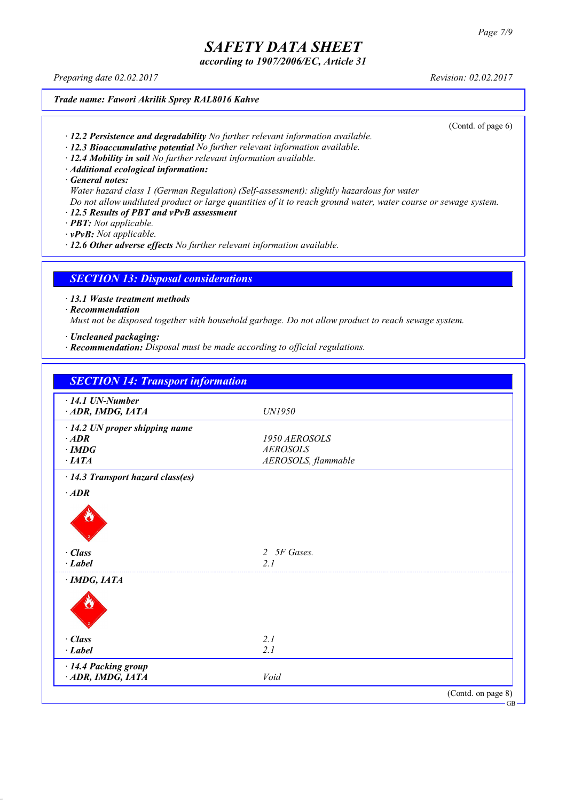*according to 1907/2006/EC, Article 31*

*Preparing date 02.02.2017 Revision: 02.02.2017*

*Trade name: Fawori Akrilik Sprey RAL8016 Kahve*

(Contd. of page 6)

- *· 12.2 Persistence and degradability No further relevant information available.*
- *· 12.3 Bioaccumulative potential No further relevant information available.*
- *· 12.4 Mobility in soil No further relevant information available.*
- *· Additional ecological information:*

*· General notes:*

- *Water hazard class 1 (German Regulation) (Self-assessment): slightly hazardous for water*
- Do not allow undiluted product or large quantities of it to reach ground water, water course or sewage system.
- *· 12.5 Results of PBT and vPvB assessment*
- *· PBT: Not applicable.*
- *· vPvB: Not applicable.*

*· 12.6 Other adverse effects No further relevant information available.*

### *SECTION 13: Disposal considerations*

*· 13.1 Waste treatment methods*

*· Recommendation*

*Must not be disposed together with household garbage. Do not allow product to reach sewage system.*

- *· Uncleaned packaging:*
- *· Recommendation: Disposal must be made according to official regulations.*

| $\cdot$ 14.1 UN-Number                  |                     |  |
|-----------------------------------------|---------------------|--|
| ADR, IMDG, IATA                         | UN1950              |  |
| $\cdot$ 14.2 UN proper shipping name    |                     |  |
| $\cdot$ ADR                             | 1950 AEROSOLS       |  |
| $\cdot$ IMDG                            | <b>AEROSOLS</b>     |  |
| $\cdot$ IATA                            | AEROSOLS, flammable |  |
| $\cdot$ 14.3 Transport hazard class(es) |                     |  |
| $\cdot$ ADR                             |                     |  |
|                                         |                     |  |
| · Class<br>$\cdot$ Label                | 2 5F Gases.<br>2.1  |  |
|                                         |                     |  |
| $\cdot$ IMDG, IATA                      |                     |  |
|                                         |                     |  |
| · Class                                 | 2.1                 |  |
| $-Label$                                | 2.1                 |  |
| · 14.4 Packing group                    |                     |  |
| ADR, IMDG, IATA                         | Void                |  |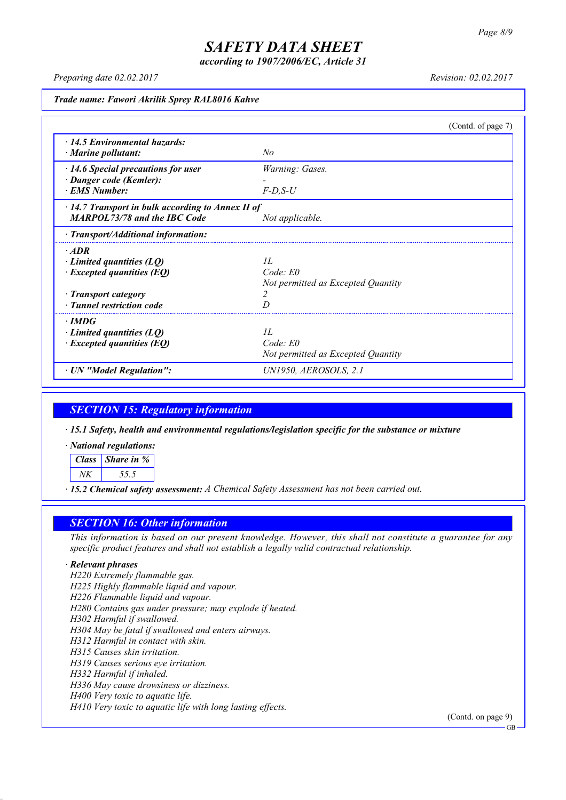*according to 1907/2006/EC, Article 31*

*Preparing date 02.02.2017 Revision: 02.02.2017*

*Trade name: Fawori Akrilik Sprey RAL8016 Kahve*

|                                                   | (Contd. of page 7)                 |  |
|---------------------------------------------------|------------------------------------|--|
| $\cdot$ 14.5 Environmental hazards:               |                                    |  |
| $\cdot$ Marine pollutant:                         | No                                 |  |
| $\cdot$ 14.6 Special precautions for user         | Warning: Gases.                    |  |
| · Danger code (Kemler):                           |                                    |  |
| <b>EMS</b> Number:                                | $F-D, S-U$                         |  |
| · 14.7 Transport in bulk according to Annex II of |                                    |  |
| <b>MARPOL73/78 and the IBC Code</b>               | Not applicable.                    |  |
| · Transport/Additional information:               |                                    |  |
| $\cdot$ ADR                                       |                                    |  |
| $\cdot$ Limited quantities (LQ)                   | II.                                |  |
| $\cdot$ Excepted quantities (EQ)                  | Code: E0                           |  |
|                                                   | Not permitted as Excepted Quantity |  |
| · Transport category                              | 2                                  |  |
| · Tunnel restriction code                         | D                                  |  |
| $\cdot$ IMDG                                      |                                    |  |
| $\cdot$ Limited quantities (LQ)                   | II.                                |  |
| $\cdot$ Excepted quantities (EQ)                  | $Code$ $E0$                        |  |
|                                                   | Not permitted as Excepted Quantity |  |
| · UN "Model Regulation":                          | UN1950, AEROSOLS, 2.1              |  |

### *SECTION 15: Regulatory information*

*· 15.1 Safety, health and environmental regulations/legislation specific for the substance or mixture*

*· National regulations:*

*Class Share in %*

*NK 55.5*

*· 15.2 Chemical safety assessment: A Chemical Safety Assessment has not been carried out.*

### *SECTION 16: Other information*

This information is based on our present knowledge. However, this shall not constitute a guarantee for any *specific product features and shall not establish a legally valid contractual relationship.*

#### *· Relevant phrases*

*H220 Extremely flammable gas. H225 Highly flammable liquid and vapour. H226 Flammable liquid and vapour. H280 Contains gas under pressure; may explode if heated. H302 Harmful if swallowed. H304 May be fatal if swallowed and enters airways. H312 Harmful in contact with skin. H315 Causes skin irritation. H319 Causes serious eye irritation. H332 Harmful if inhaled. H336 May cause drowsiness or dizziness. H400 Very toxic to aquatic life. H410 Very toxic to aquatic life with long lasting effects.*

(Contd. on page 9)